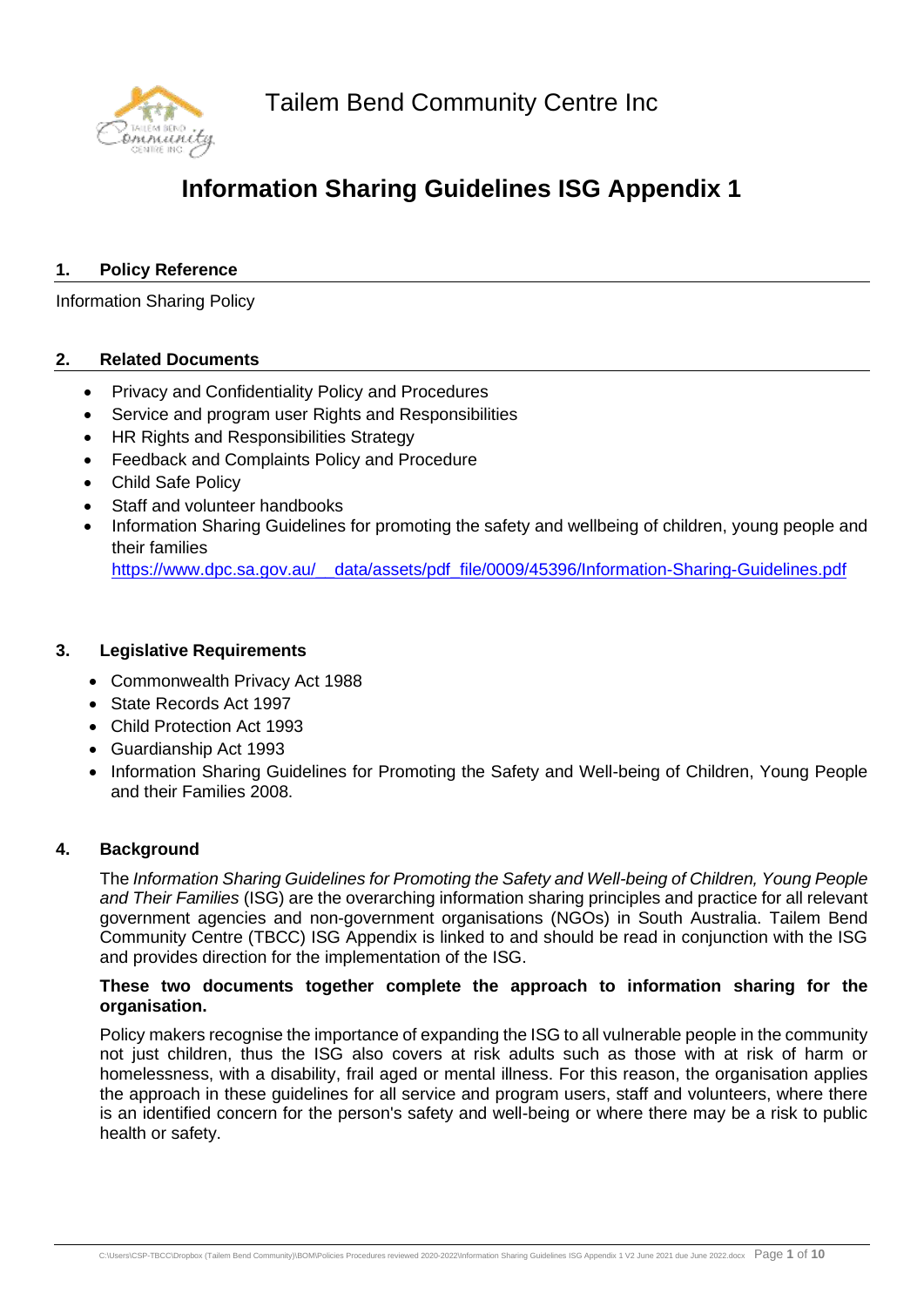Tailem Bend Community Centre Inc



### **Information Sharing Guidelines ISG Appendix 1**

#### **1. Policy Reference**

Information Sharing Policy

#### **2. Related Documents**

- Privacy and Confidentiality Policy and Procedures
- Service and program user Rights and Responsibilities
- HR Rights and Responsibilities Strategy
- Feedback and Complaints Policy and Procedure
- **Child Safe Policy**
- Staff and volunteer handbooks
- Information Sharing Guidelines for promoting the safety and wellbeing of children, young people and their families

[https://www.dpc.sa.gov.au/\\_\\_data/assets/pdf\\_file/0009/45396/Information-Sharing-Guidelines.pdf](https://www.dpc.sa.gov.au/__data/assets/pdf_file/0009/45396/Information-Sharing-Guidelines.pdf)

#### **3. Legislative Requirements**

- Commonwealth Privacy Act 1988
- State Records Act 1997
- Child Protection Act 1993
- Guardianship Act 1993
- Information Sharing Guidelines for Promoting the Safety and Well-being of Children, Young People and their Families 2008.

#### **4. Background**

The *Information Sharing Guidelines for Promoting the Safety and Well-being of Children, Young People and Their Families* (ISG) are the overarching information sharing principles and practice for all relevant government agencies and non-government organisations (NGOs) in South Australia. Tailem Bend Community Centre (TBCC) ISG Appendix is linked to and should be read in conjunction with the ISG and provides direction for the implementation of the ISG.

#### **These two documents together complete the approach to information sharing for the organisation.**

Policy makers recognise the importance of expanding the ISG to all vulnerable people in the community not just children, thus the ISG also covers at risk adults such as those with at risk of harm or homelessness, with a disability, frail aged or mental illness. For this reason, the organisation applies the approach in these guidelines for all service and program users, staff and volunteers, where there is an identified concern for the person's safety and well-being or where there may be a risk to public health or safety.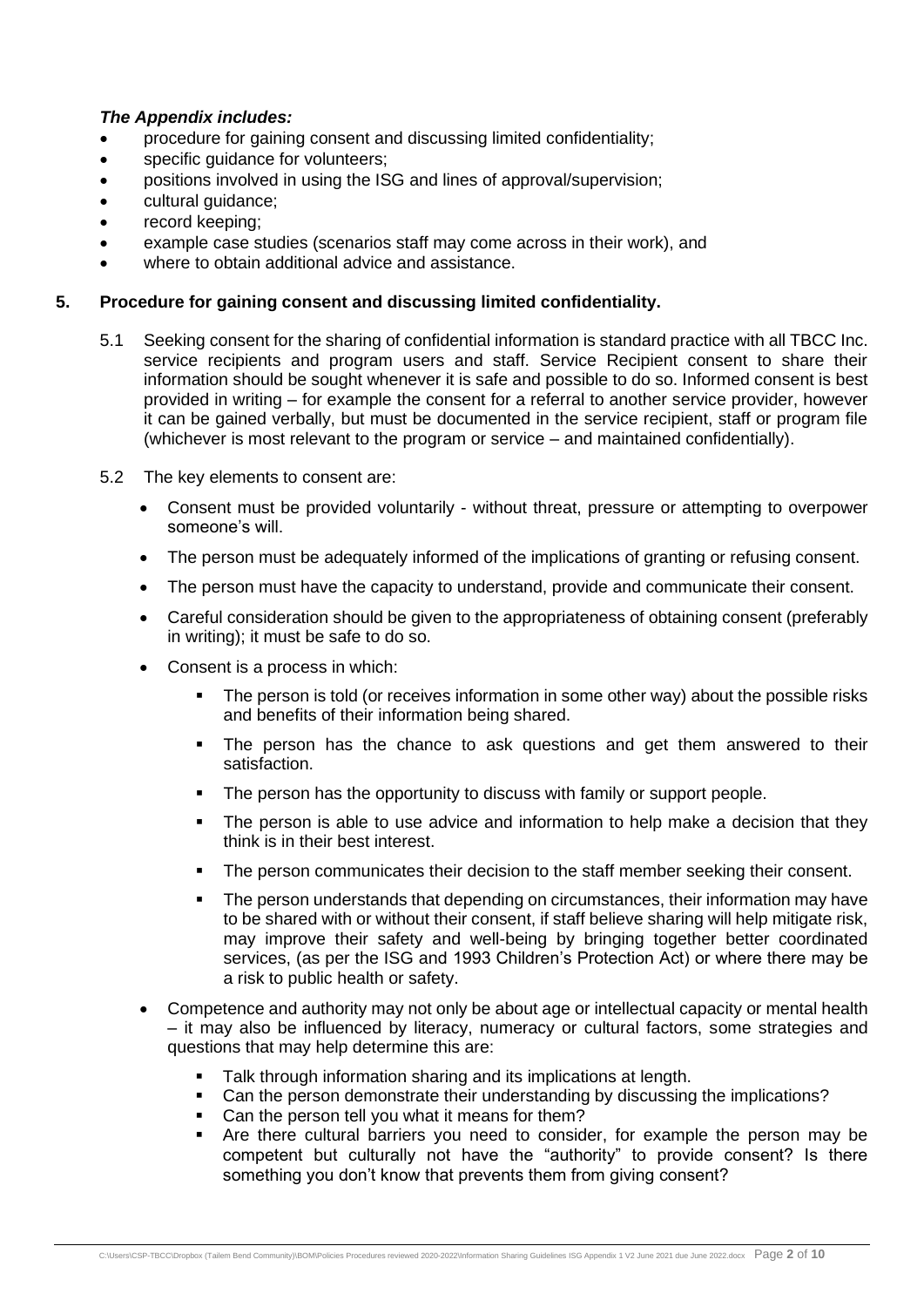#### *The Appendix includes:*

- procedure for gaining consent and discussing limited confidentiality;
- specific guidance for volunteers;
- positions involved in using the ISG and lines of approval/supervision;
- cultural guidance;
- record keeping;
- example case studies (scenarios staff may come across in their work), and
- where to obtain additional advice and assistance.

#### **5. Procedure for gaining consent and discussing limited confidentiality.**

- 5.1 Seeking consent for the sharing of confidential information is standard practice with all TBCC Inc. service recipients and program users and staff. Service Recipient consent to share their information should be sought whenever it is safe and possible to do so. Informed consent is best provided in writing – for example the consent for a referral to another service provider, however it can be gained verbally, but must be documented in the service recipient, staff or program file (whichever is most relevant to the program or service – and maintained confidentially).
- 5.2 The key elements to consent are:
	- Consent must be provided voluntarily without threat, pressure or attempting to overpower someone's will.
	- The person must be adequately informed of the implications of granting or refusing consent.
	- The person must have the capacity to understand, provide and communicate their consent.
	- Careful consideration should be given to the appropriateness of obtaining consent (preferably in writing); it must be safe to do so.
	- Consent is a process in which:
		- The person is told (or receives information in some other way) about the possible risks and benefits of their information being shared.
		- The person has the chance to ask questions and get them answered to their satisfaction.
		- The person has the opportunity to discuss with family or support people.
		- The person is able to use advice and information to help make a decision that they think is in their best interest.
		- The person communicates their decision to the staff member seeking their consent.
		- **•** The person understands that depending on circumstances, their information may have to be shared with or without their consent, if staff believe sharing will help mitigate risk, may improve their safety and well-being by bringing together better coordinated services, (as per the ISG and 1993 Children's Protection Act) or where there may be a risk to public health or safety.
	- Competence and authority may not only be about age or intellectual capacity or mental health – it may also be influenced by literacy, numeracy or cultural factors, some strategies and questions that may help determine this are:
		- Talk through information sharing and its implications at length.
		- Can the person demonstrate their understanding by discussing the implications?
		- Can the person tell you what it means for them?
		- Are there cultural barriers you need to consider, for example the person may be competent but culturally not have the "authority" to provide consent? Is there something you don't know that prevents them from giving consent?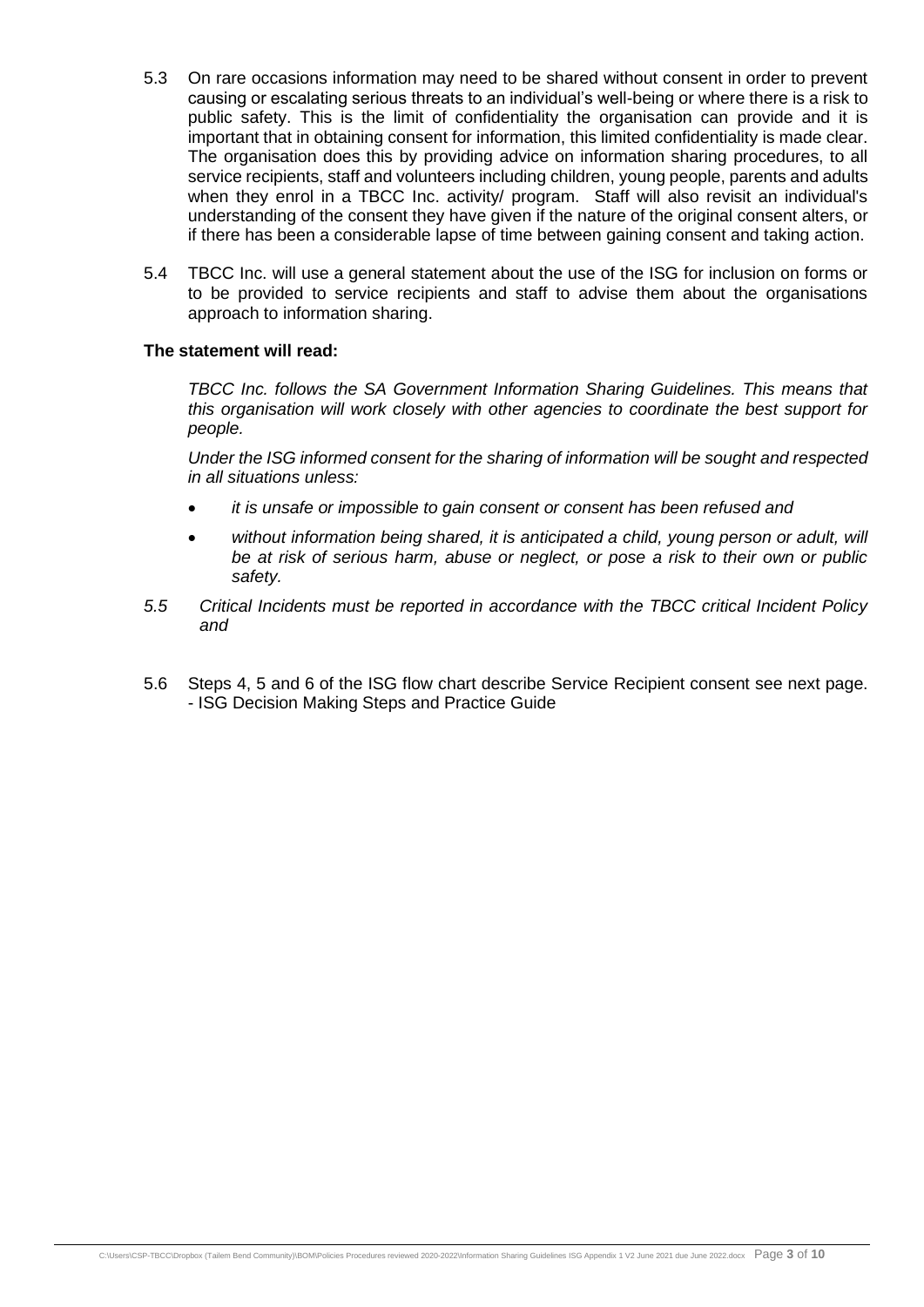- 5.3 On rare occasions information may need to be shared without consent in order to prevent causing or escalating serious threats to an individual's well-being or where there is a risk to public safety. This is the limit of confidentiality the organisation can provide and it is important that in obtaining consent for information, this limited confidentiality is made clear. The organisation does this by providing advice on information sharing procedures, to all service recipients, staff and volunteers including children, young people, parents and adults when they enrol in a TBCC Inc. activity/ program. Staff will also revisit an individual's understanding of the consent they have given if the nature of the original consent alters, or if there has been a considerable lapse of time between gaining consent and taking action.
- 5.4 TBCC Inc. will use a general statement about the use of the ISG for inclusion on forms or to be provided to service recipients and staff to advise them about the organisations approach to information sharing.

#### **The statement will read:**

*TBCC Inc. follows the SA Government Information Sharing Guidelines. This means that this organisation will work closely with other agencies to coordinate the best support for people.* 

*Under the ISG informed consent for the sharing of information will be sought and respected in all situations unless:*

- *it is unsafe or impossible to gain consent or consent has been refused and*
- *without information being shared, it is anticipated a child, young person or adult, will be at risk of serious harm, abuse or neglect, or pose a risk to their own or public safety.*
- *5.5 Critical Incidents must be reported in accordance with the TBCC critical Incident Policy and*
- 5.6 Steps 4, 5 and 6 of the ISG flow chart describe Service Recipient consent see next page. - ISG Decision Making Steps and Practice Guide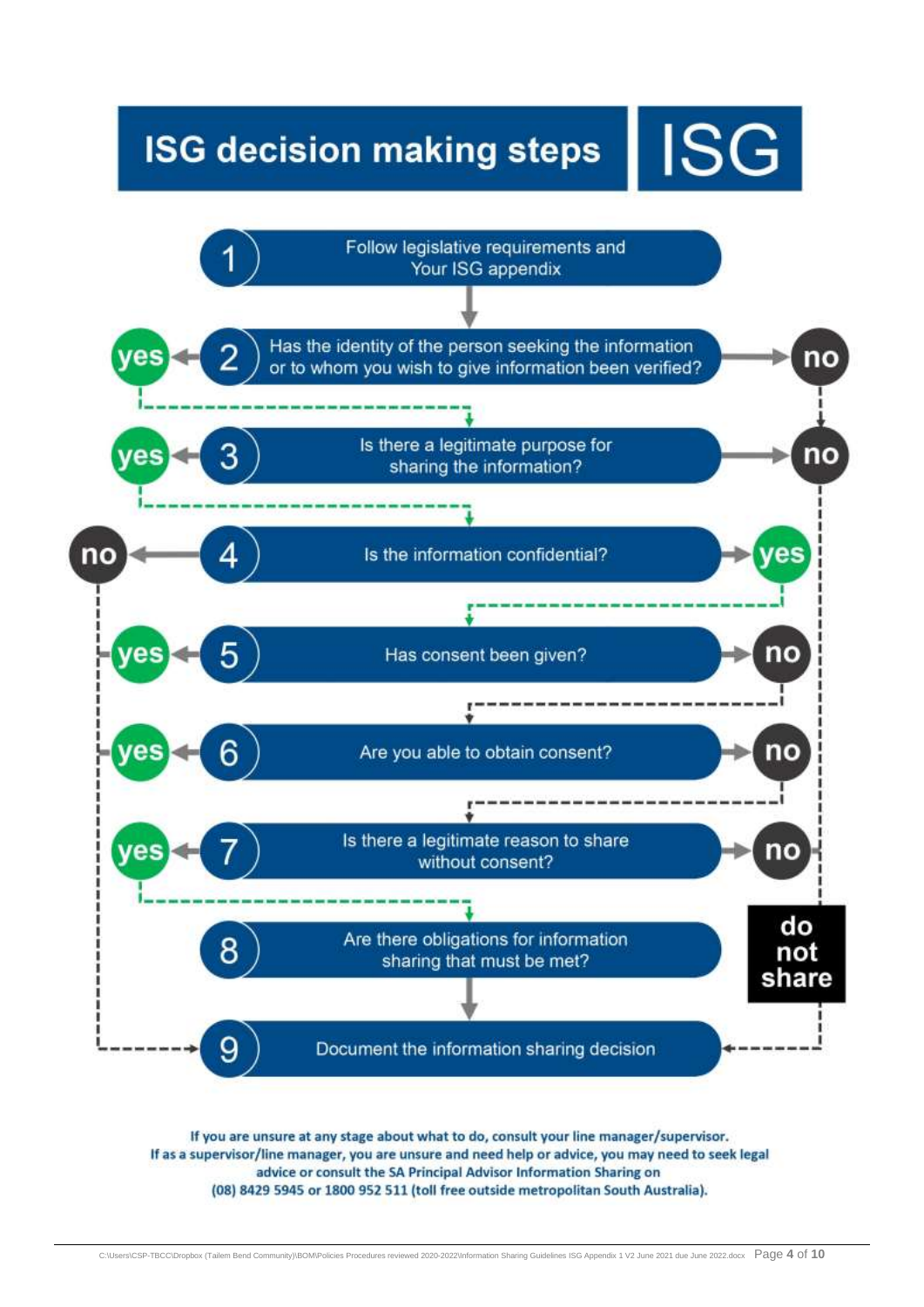## **ISG decision making steps**

**ISG** 



If you are unsure at any stage about what to do, consult your line manager/supervisor. If as a supervisor/line manager, you are unsure and need help or advice, you may need to seek legal advice or consult the SA Principal Advisor Information Sharing on (08) 8429 5945 or 1800 952 511 (toll free outside metropolitan South Australia).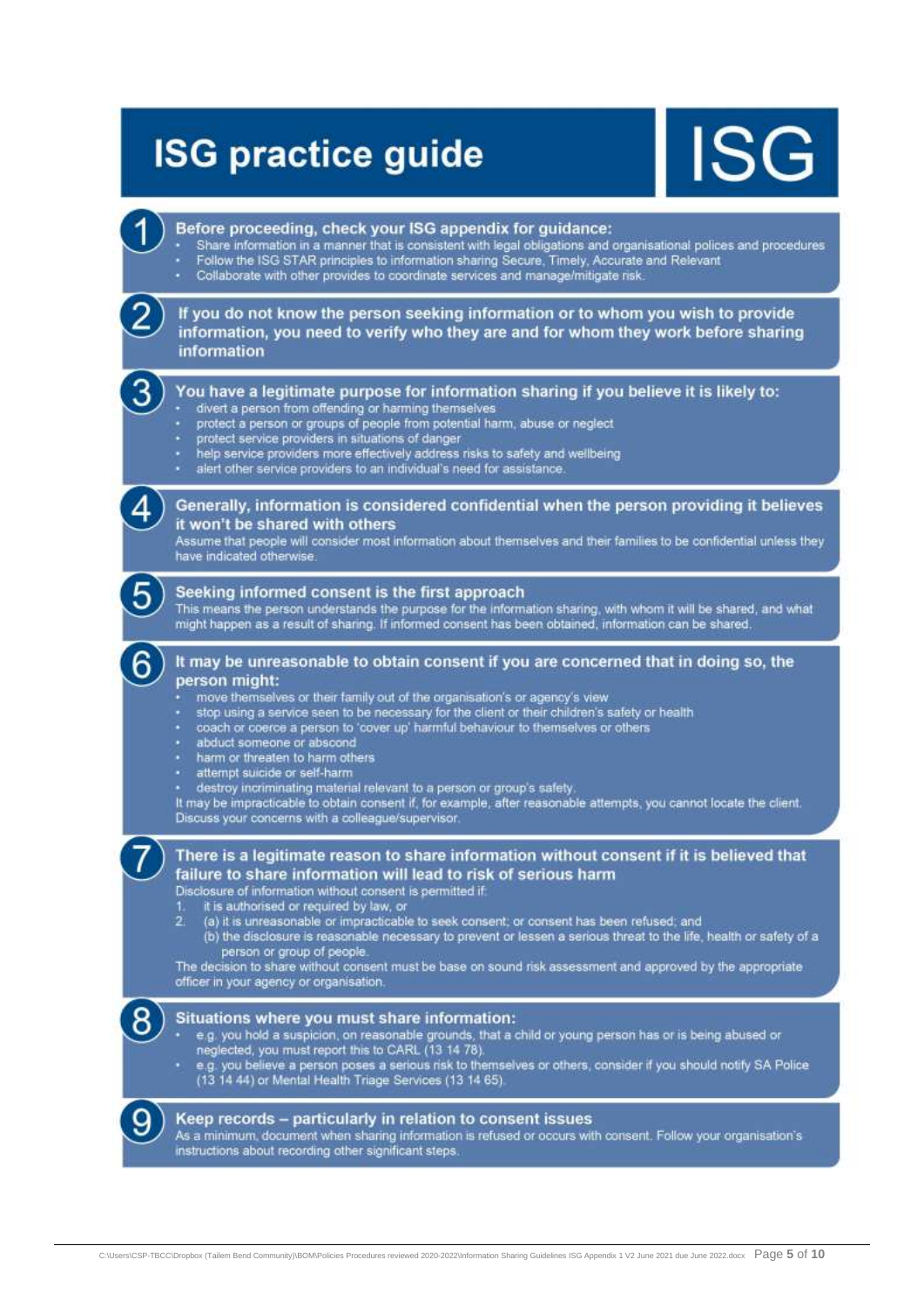## **ISG practice guide**

Before proceeding, check your ISG appendix for guidance:

# ISG



instructions about recording other significant steps.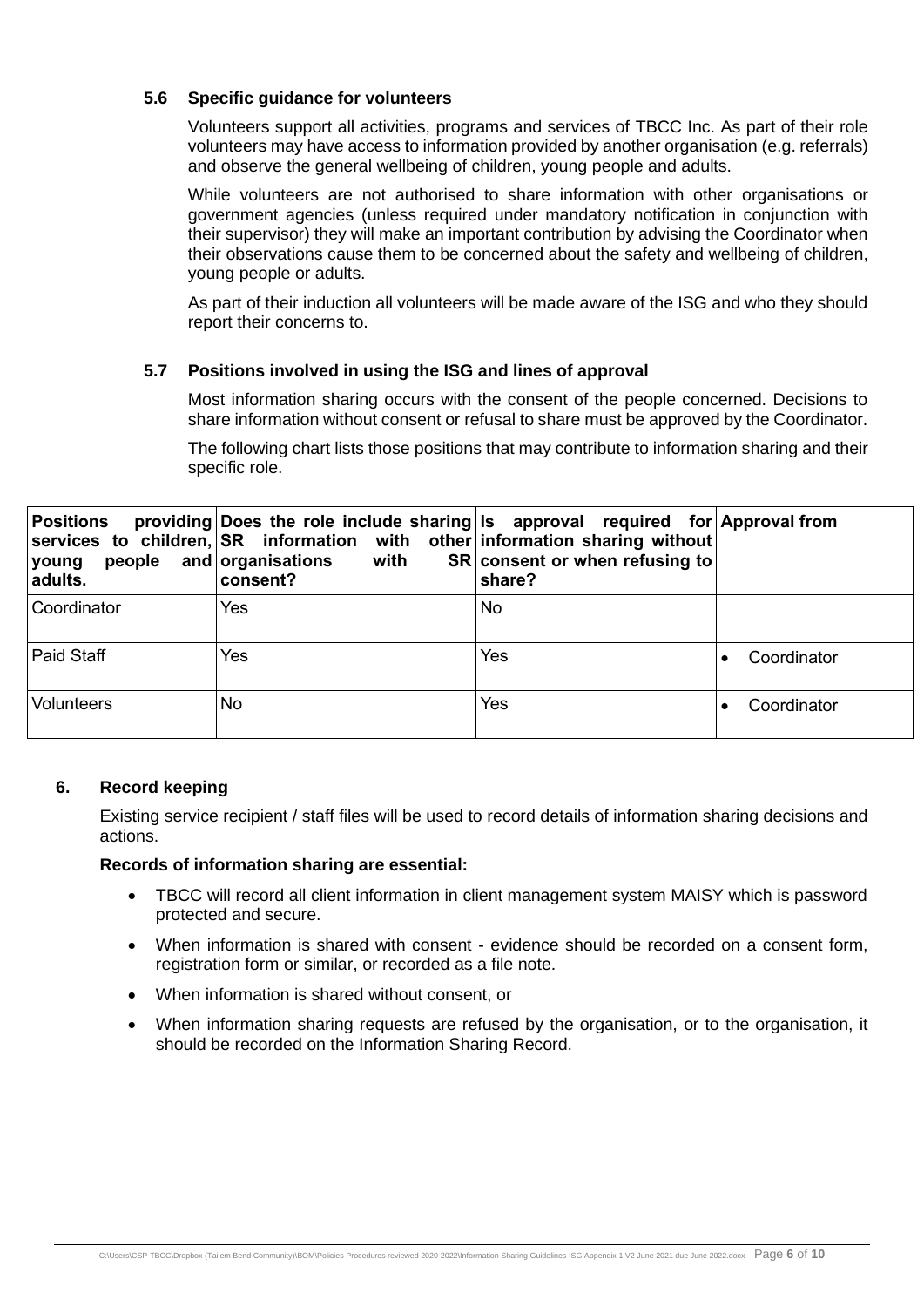#### **5.6 Specific guidance for volunteers**

Volunteers support all activities, programs and services of TBCC Inc. As part of their role volunteers may have access to information provided by another organisation (e.g. referrals) and observe the general wellbeing of children, young people and adults.

While volunteers are not authorised to share information with other organisations or government agencies (unless required under mandatory notification in conjunction with their supervisor) they will make an important contribution by advising the Coordinator when their observations cause them to be concerned about the safety and wellbeing of children, young people or adults.

As part of their induction all volunteers will be made aware of the ISG and who they should report their concerns to.

#### **5.7 Positions involved in using the ISG and lines of approval**

Most information sharing occurs with the consent of the people concerned. Decisions to share information without consent or refusal to share must be approved by the Coordinator.

The following chart lists those positions that may contribute to information sharing and their specific role.

| <b>Positions</b><br>young<br>adults. | providing Does the role include sharing Is approval required for Approval from<br>services to children, SR information with other information sharing without<br>people and organisations<br>with<br>consent? | SR consent or when refusing to<br>share? |             |
|--------------------------------------|---------------------------------------------------------------------------------------------------------------------------------------------------------------------------------------------------------------|------------------------------------------|-------------|
| Coordinator                          | Yes                                                                                                                                                                                                           | No                                       |             |
| Paid Staff                           | Yes                                                                                                                                                                                                           | <b>Yes</b>                               | Coordinator |
| <b>Volunteers</b>                    | No.                                                                                                                                                                                                           | <b>Yes</b>                               | Coordinator |

#### **6. Record keeping**

Existing service recipient / staff files will be used to record details of information sharing decisions and actions.

#### **Records of information sharing are essential:**

- TBCC will record all client information in client management system MAISY which is password protected and secure.
- When information is shared with consent evidence should be recorded on a consent form, registration form or similar, or recorded as a file note.
- When information is shared without consent, or
- When information sharing requests are refused by the organisation, or to the organisation, it should be recorded on the Information Sharing Record.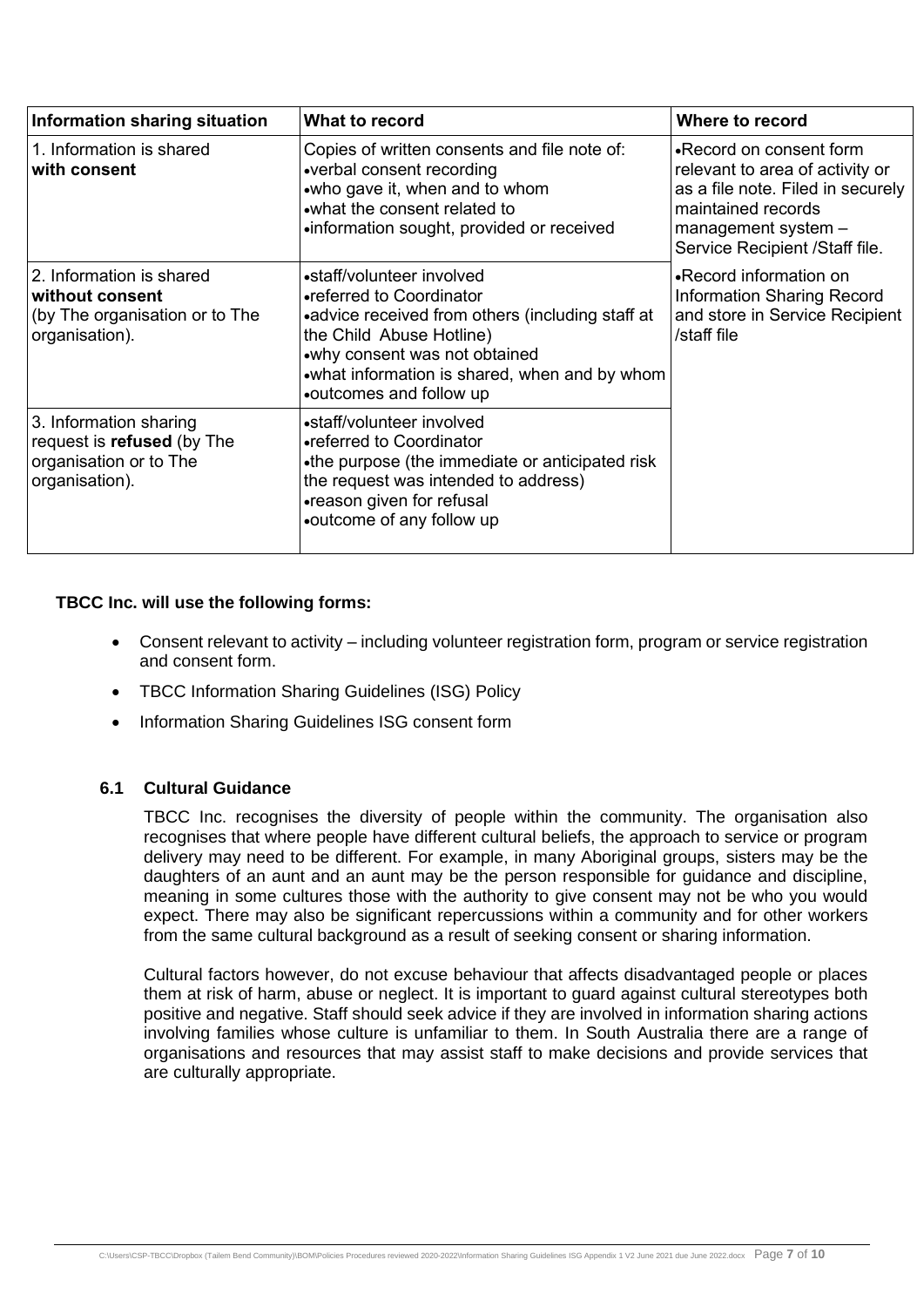| Information sharing situation                                                                    | What to record                                                                                                                                                                                                                                    | Where to record                                                                                                                                                                  |
|--------------------------------------------------------------------------------------------------|---------------------------------------------------------------------------------------------------------------------------------------------------------------------------------------------------------------------------------------------------|----------------------------------------------------------------------------------------------------------------------------------------------------------------------------------|
| 1. Information is shared<br>with consent                                                         | Copies of written consents and file note of:<br>•verbal consent recording<br>•who gave it, when and to whom<br>.what the consent related to<br>•information sought, provided or received                                                          | •Record on consent form<br>relevant to area of activity or<br>as a file note. Filed in securely<br>maintained records<br>management system $-$<br>Service Recipient /Staff file. |
| 2. Information is shared<br>without consent<br>(by The organisation or to The<br>organisation).  | •staff/volunteer involved<br>•referred to Coordinator<br>•advice received from others (including staff at<br>the Child Abuse Hotline)<br>.why consent was not obtained<br>.what information is shared, when and by whom<br>outcomes and follow up | •Record information on<br><b>Information Sharing Record</b><br>and store in Service Recipient<br>/staff file                                                                     |
| 3. Information sharing<br>request is refused (by The<br>organisation or to The<br>organisation). | •staff/volunteer involved<br>•referred to Coordinator<br>•the purpose (the immediate or anticipated risk<br>the request was intended to address)<br>•reason given for refusal<br>•outcome of any follow up                                        |                                                                                                                                                                                  |

#### **TBCC Inc. will use the following forms:**

- Consent relevant to activity including volunteer registration form, program or service registration and consent form.
- TBCC Information Sharing Guidelines (ISG) Policy
- Information Sharing Guidelines ISG consent form

#### **6.1 Cultural Guidance**

TBCC Inc. recognises the diversity of people within the community. The organisation also recognises that where people have different cultural beliefs, the approach to service or program delivery may need to be different. For example, in many Aboriginal groups, sisters may be the daughters of an aunt and an aunt may be the person responsible for guidance and discipline, meaning in some cultures those with the authority to give consent may not be who you would expect. There may also be significant repercussions within a community and for other workers from the same cultural background as a result of seeking consent or sharing information.

Cultural factors however, do not excuse behaviour that affects disadvantaged people or places them at risk of harm, abuse or neglect. It is important to guard against cultural stereotypes both positive and negative. Staff should seek advice if they are involved in information sharing actions involving families whose culture is unfamiliar to them. In South Australia there are a range of organisations and resources that may assist staff to make decisions and provide services that are culturally appropriate.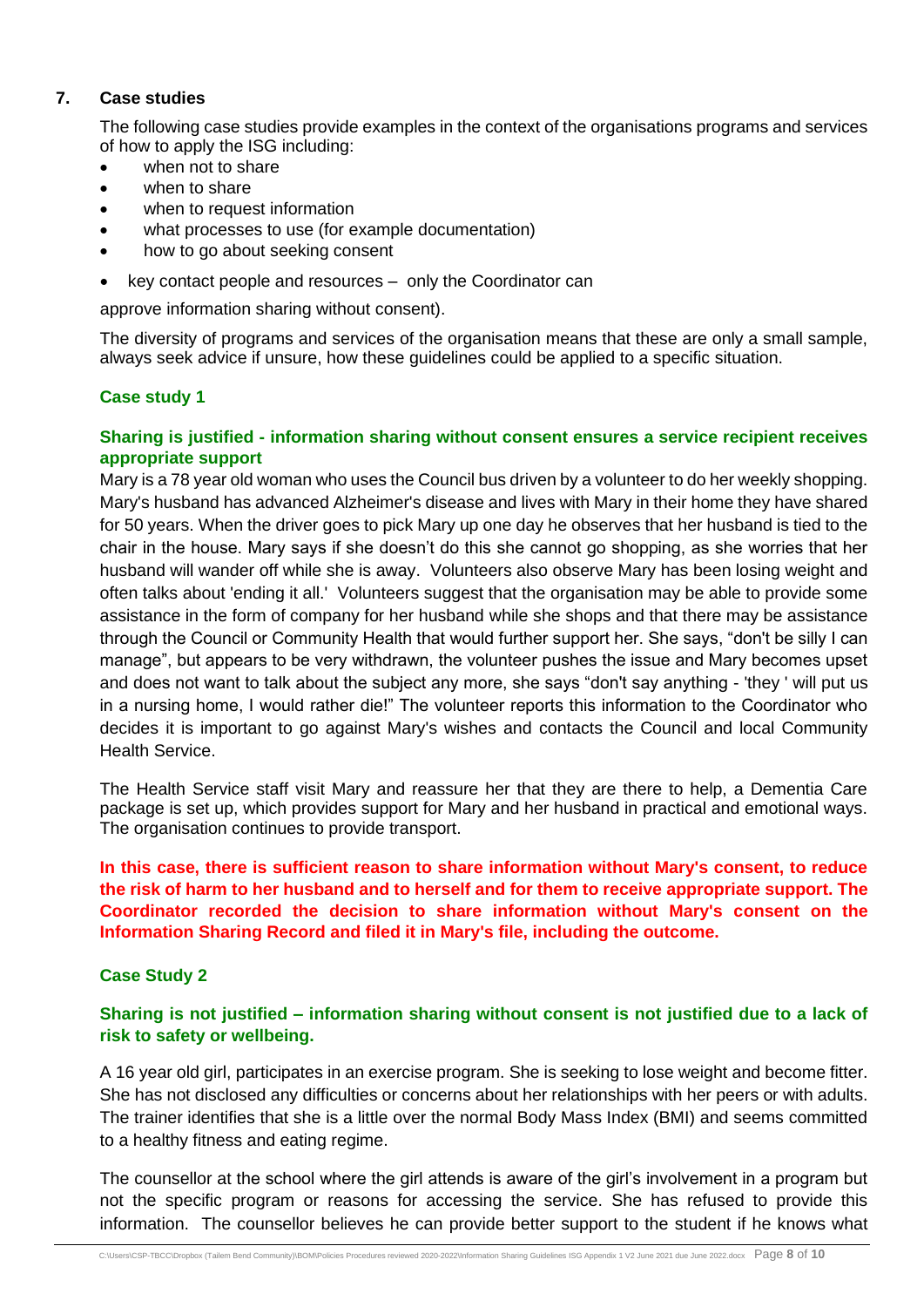#### **7. Case studies**

The following case studies provide examples in the context of the organisations programs and services of how to apply the ISG including:

- when not to share
- when to share
- when to request information
- what processes to use (for example documentation)
- how to go about seeking consent
- key contact people and resources only the Coordinator can

approve information sharing without consent).

The diversity of programs and services of the organisation means that these are only a small sample, always seek advice if unsure, how these guidelines could be applied to a specific situation.

#### **Case study 1**

#### **Sharing is justified - information sharing without consent ensures a service recipient receives appropriate support**

Mary is a 78 year old woman who uses the Council bus driven by a volunteer to do her weekly shopping. Mary's husband has advanced Alzheimer's disease and lives with Mary in their home they have shared for 50 years. When the driver goes to pick Mary up one day he observes that her husband is tied to the chair in the house. Mary says if she doesn't do this she cannot go shopping, as she worries that her husband will wander off while she is away. Volunteers also observe Mary has been losing weight and often talks about 'ending it all.' Volunteers suggest that the organisation may be able to provide some assistance in the form of company for her husband while she shops and that there may be assistance through the Council or Community Health that would further support her. She says, "don't be silly I can manage", but appears to be very withdrawn, the volunteer pushes the issue and Mary becomes upset and does not want to talk about the subject any more, she says "don't say anything - 'they ' will put us in a nursing home, I would rather die!" The volunteer reports this information to the Coordinator who decides it is important to go against Mary's wishes and contacts the Council and local Community Health Service.

The Health Service staff visit Mary and reassure her that they are there to help, a Dementia Care package is set up, which provides support for Mary and her husband in practical and emotional ways. The organisation continues to provide transport.

#### **In this case, there is sufficient reason to share information without Mary's consent, to reduce the risk of harm to her husband and to herself and for them to receive appropriate support. The Coordinator recorded the decision to share information without Mary's consent on the Information Sharing Record and filed it in Mary's file, including the outcome.**

#### **Case Study 2**

#### **Sharing is not justified – information sharing without consent is not justified due to a lack of risk to safety or wellbeing.**

A 16 year old girl, participates in an exercise program. She is seeking to lose weight and become fitter. She has not disclosed any difficulties or concerns about her relationships with her peers or with adults. The trainer identifies that she is a little over the normal Body Mass Index (BMI) and seems committed to a healthy fitness and eating regime.

The counsellor at the school where the girl attends is aware of the girl's involvement in a program but not the specific program or reasons for accessing the service. She has refused to provide this information. The counsellor believes he can provide better support to the student if he knows what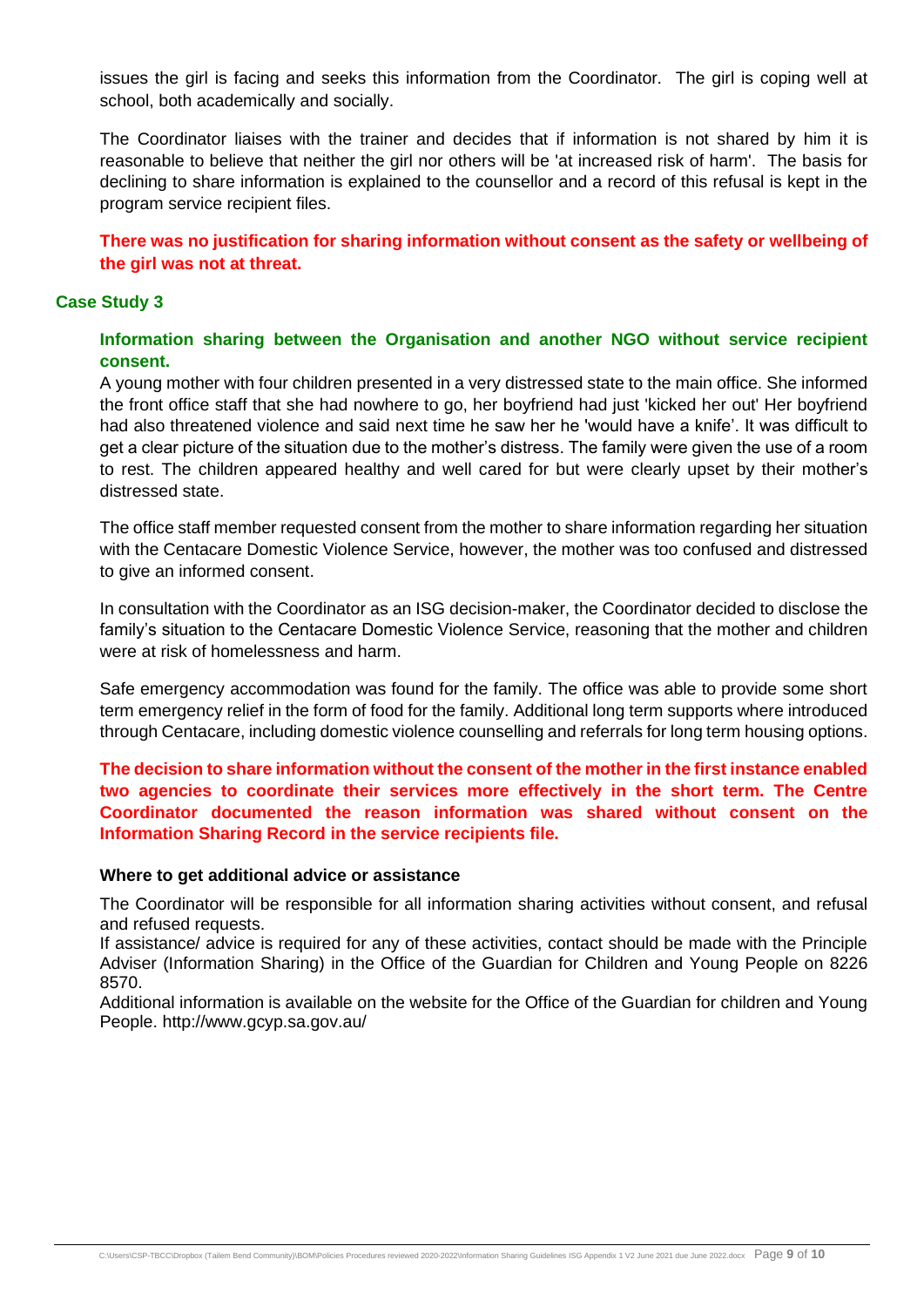issues the girl is facing and seeks this information from the Coordinator. The girl is coping well at school, both academically and socially.

The Coordinator liaises with the trainer and decides that if information is not shared by him it is reasonable to believe that neither the girl nor others will be 'at increased risk of harm'. The basis for declining to share information is explained to the counsellor and a record of this refusal is kept in the program service recipient files.

**There was no justification for sharing information without consent as the safety or wellbeing of the girl was not at threat.**

#### **Case Study 3**

**Information sharing between the Organisation and another NGO without service recipient consent.**

A young mother with four children presented in a very distressed state to the main office. She informed the front office staff that she had nowhere to go, her boyfriend had just 'kicked her out' Her boyfriend had also threatened violence and said next time he saw her he 'would have a knife'. It was difficult to get a clear picture of the situation due to the mother's distress. The family were given the use of a room to rest. The children appeared healthy and well cared for but were clearly upset by their mother's distressed state.

The office staff member requested consent from the mother to share information regarding her situation with the Centacare Domestic Violence Service, however, the mother was too confused and distressed to give an informed consent.

In consultation with the Coordinator as an ISG decision-maker, the Coordinator decided to disclose the family's situation to the Centacare Domestic Violence Service, reasoning that the mother and children were at risk of homelessness and harm.

Safe emergency accommodation was found for the family. The office was able to provide some short term emergency relief in the form of food for the family. Additional long term supports where introduced through Centacare, including domestic violence counselling and referrals for long term housing options.

**The decision to share information without the consent of the mother in the first instance enabled two agencies to coordinate their services more effectively in the short term. The Centre Coordinator documented the reason information was shared without consent on the Information Sharing Record in the service recipients file.** 

#### **Where to get additional advice or assistance**

The Coordinator will be responsible for all information sharing activities without consent, and refusal and refused requests.

If assistance/ advice is required for any of these activities, contact should be made with the Principle Adviser (Information Sharing) in the Office of the Guardian for Children and Young People on 8226 8570.

Additional information is available on the website for the Office of the Guardian for children and Young People. http://www.gcyp.sa.gov.au/